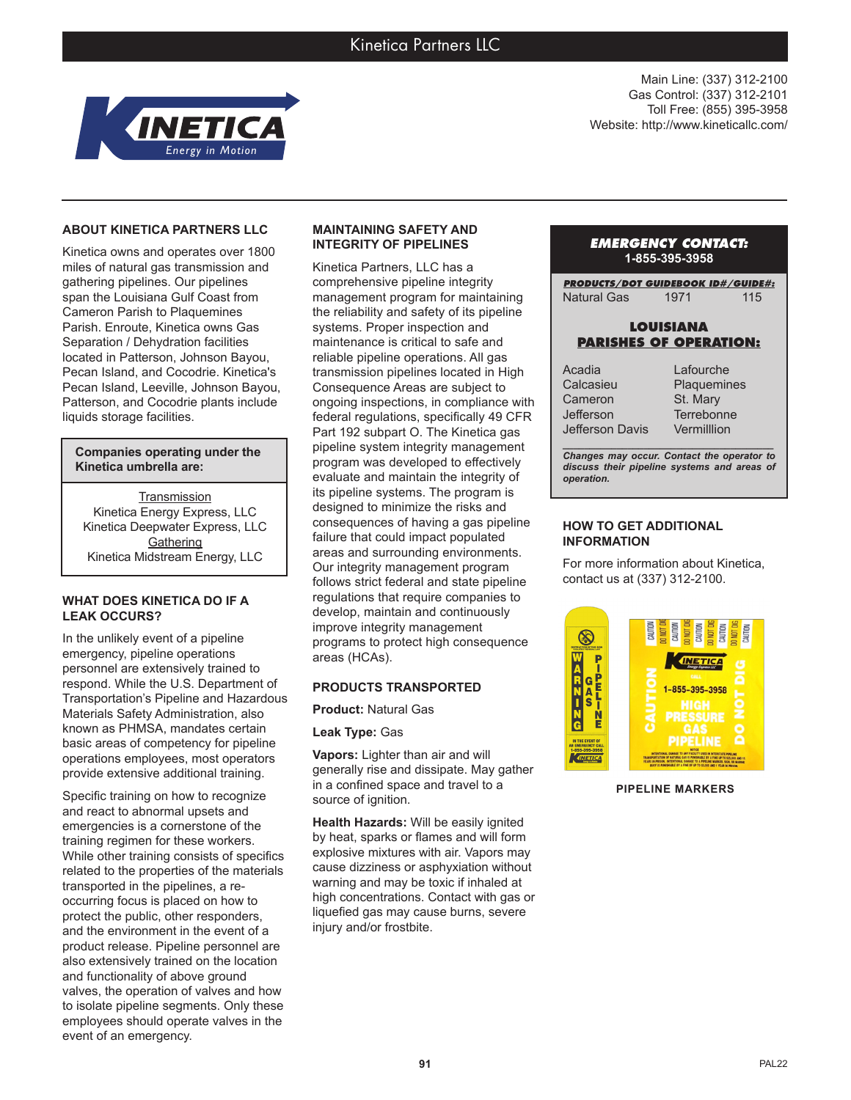

Main Line: (337) 312-2100 Gas Control: (337) 312-2101 Toll Free: (855) 395-3958 Website: http://www.kineticallc.com/

### **ABOUT KINETICA PARTNERS LLC**

Kinetica owns and operates over 1800 miles of natural gas transmission and gathering pipelines. Our pipelines span the Louisiana Gulf Coast from Cameron Parish to Plaquemines Parish. Enroute, Kinetica owns Gas Separation / Dehydration facilities located in Patterson, Johnson Bayou, Pecan Island, and Cocodrie. Kinetica's Pecan Island, Leeville, Johnson Bayou, Patterson, and Cocodrie plants include liquids storage facilities.

**Companies operating under the Kinetica umbrella are:**

**Transmission** Kinetica Energy Express, LLC Kinetica Deepwater Express, LLC **Gathering** Kinetica Midstream Energy, LLC

#### **WHAT DOES KINETICA DO IF A LEAK OCCURS?**

In the unlikely event of a pipeline emergency, pipeline operations personnel are extensively trained to respond. While the U.S. Department of Transportation's Pipeline and Hazardous Materials Safety Administration, also known as PHMSA, mandates certain basic areas of competency for pipeline operations employees, most operators provide extensive additional training.

Specific training on how to recognize and react to abnormal upsets and emergencies is a cornerstone of the training regimen for these workers. While other training consists of specifics related to the properties of the materials transported in the pipelines, a reoccurring focus is placed on how to protect the public, other responders, and the environment in the event of a product release. Pipeline personnel are also extensively trained on the location and functionality of above ground valves, the operation of valves and how to isolate pipeline segments. Only these employees should operate valves in the event of an emergency.

#### **MAINTAINING SAFETY AND INTEGRITY OF PIPELINES**

Kinetica Partners, LLC has a comprehensive pipeline integrity management program for maintaining the reliability and safety of its pipeline systems. Proper inspection and maintenance is critical to safe and reliable pipeline operations. All gas transmission pipelines located in High Consequence Areas are subject to ongoing inspections, in compliance with federal regulations, specifically 49 CFR Part 192 subpart O. The Kinetica gas pipeline system integrity management program was developed to effectively evaluate and maintain the integrity of its pipeline systems. The program is designed to minimize the risks and consequences of having a gas pipeline failure that could impact populated areas and surrounding environments. Our integrity management program follows strict federal and state pipeline regulations that require companies to develop, maintain and continuously improve integrity management programs to protect high consequence areas (HCAs).

# **PRODUCTS TRANSPORTED**

**Product:** Natural Gas

**Leak Type:** Gas

**Vapors:** Lighter than air and will generally rise and dissipate. May gather in a confined space and travel to a source of ignition.

**Health Hazards:** Will be easily ignited by heat, sparks or flames and will form explosive mixtures with air. Vapors may cause dizziness or asphyxiation without warning and may be toxic if inhaled at high concentrations. Contact with gas or liquefied gas may cause burns, severe injury and/or frostbite.

### *EMERGENCY CONTACT:* **1-855-395-3958**

*PRODUCTS/DOT GUIDEBOOK ID#/GUIDE#:* Natural Gas 1971 115

### **LOUISIANA PARISHES OF OPERATION:**

Acadia Calcasieu Cameron Jefferson Jefferson Davis

Lafourche **Plaquemines** St. Mary **Terrebonne Vermilllion** 

*\_\_\_\_\_\_\_\_\_\_\_\_\_\_\_\_\_\_\_\_\_\_\_\_\_\_\_\_\_\_\_\_\_\_\_\_\_\_\_ Changes may occur. Contact the operator to discuss their pipeline systems and areas of operation.*

# **HOW TO GET ADDITIONAL INFORMATION**

For more information about Kinetica, contact us at (337) 312-2100.



**PIPELINE MARKERS**